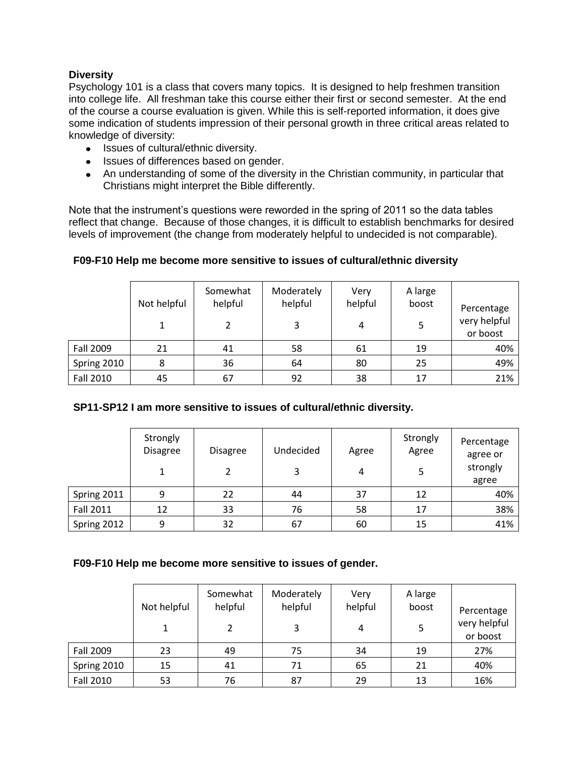## **Diversity**

Psychology 101 is a class that covers many topics. It is designed to help freshmen transition into college life. All freshman take this course either their first or second semester. At the end of the course a course evaluation is given. While this is self-reported information, it does give some indication of students impression of their personal growth in three critical areas related to knowledge of diversity:

- Issues of cultural/ethnic diversity.
- Issues of differences based on gender.
- An understanding of some of the diversity in the Christian community, in particular that Christians might interpret the Bible differently.

Note that the instrument's questions were reworded in the spring of 2011 so the data tables reflect that change. Because of those changes, it is difficult to establish benchmarks for desired levels of improvement (the change from moderately helpful to undecided is not comparable).

## **F09-F10 Help me become more sensitive to issues of cultural/ethnic diversity**

|                  | Not helpful | Somewhat<br>helpful | Moderately<br>helpful | Very<br>helpful | A large<br>boost | Percentage               |
|------------------|-------------|---------------------|-----------------------|-----------------|------------------|--------------------------|
|                  |             |                     | 3                     | 4               |                  | very helpful<br>or boost |
| Fall 2009        | 21          | 41                  | 58                    | 61              | 19               | 40%                      |
| Spring 2010      |             | 36                  | 64                    | 80              | 25               | 49%                      |
| <b>Fall 2010</b> | 45          | 67                  | 92                    | 38              | 17               | 21%                      |

### **SP11-SP12 I am more sensitive to issues of cultural/ethnic diversity.**

|                  | Strongly<br><b>Disagree</b> | <b>Disagree</b> | Undecided | Agree | Strongly<br>Agree | Percentage<br>agree or |
|------------------|-----------------------------|-----------------|-----------|-------|-------------------|------------------------|
|                  |                             |                 | 3         | 4     |                   | strongly<br>agree      |
| Spring 2011      |                             | 22              | 44        | 37    | 12                | 40%                    |
| <b>Fall 2011</b> | 12                          | 33              | 76        | 58    | 17                | 38%                    |
| Spring 2012      |                             | 32              | 67        | 60    | 15                | 41%                    |

#### **F09-F10 Help me become more sensitive to issues of gender.**

|                  | Not helpful | Somewhat<br>helpful | Moderately<br>helpful | Very<br>helpful | A large<br>boost | Percentage               |
|------------------|-------------|---------------------|-----------------------|-----------------|------------------|--------------------------|
|                  |             |                     | 3                     | 4               | 5                | very helpful<br>or boost |
| Fall 2009        | 23          | 49                  | 75                    | 34              | 19               | 27%                      |
| Spring 2010      | 15          | 41                  | 71                    | 65              | 21               | 40%                      |
| <b>Fall 2010</b> | 53          | 76                  | 87                    | 29              | 13               | 16%                      |